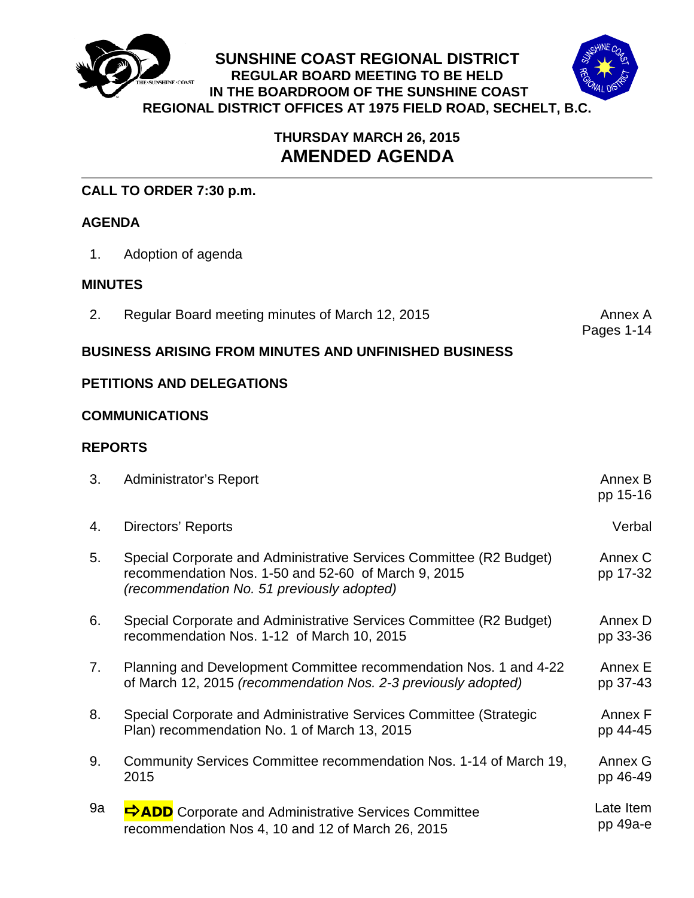

# **THURSDAY MARCH 26, 2015 AMENDED AGENDA**

## **CALL TO ORDER 7:30 p.m.**

## **AGENDA**

1. Adoption of agenda

### **MINUTES**

2. Regular Board meeting minutes of March 12, 2015

Pages 1-14

## **BUSINESS ARISING FROM MINUTES AND UNFINISHED BUSINESS**

## **PETITIONS AND DELEGATIONS**

### **COMMUNICATIONS**

## **REPORTS**

| 3. | <b>Administrator's Report</b>                                                                                                                                            | Annex B<br>pp 15-16   |
|----|--------------------------------------------------------------------------------------------------------------------------------------------------------------------------|-----------------------|
| 4. | <b>Directors' Reports</b>                                                                                                                                                | Verbal                |
| 5. | Special Corporate and Administrative Services Committee (R2 Budget)<br>recommendation Nos. 1-50 and 52-60 of March 9, 2015<br>(recommendation No. 51 previously adopted) | Annex C<br>pp 17-32   |
| 6. | Special Corporate and Administrative Services Committee (R2 Budget)<br>recommendation Nos. 1-12 of March 10, 2015                                                        | Annex D<br>pp 33-36   |
| 7. | Planning and Development Committee recommendation Nos. 1 and 4-22<br>of March 12, 2015 (recommendation Nos. 2-3 previously adopted)                                      | Annex E<br>pp 37-43   |
| 8. | Special Corporate and Administrative Services Committee (Strategic<br>Plan) recommendation No. 1 of March 13, 2015                                                       | Annex F<br>pp 44-45   |
| 9. | Community Services Committee recommendation Nos. 1-14 of March 19,<br>2015                                                                                               | Annex G<br>pp 46-49   |
| 9a | <b>FADD</b> Corporate and Administrative Services Committee<br>recommendation Nos 4, 10 and 12 of March 26, 2015                                                         | Late Item<br>pp 49a-e |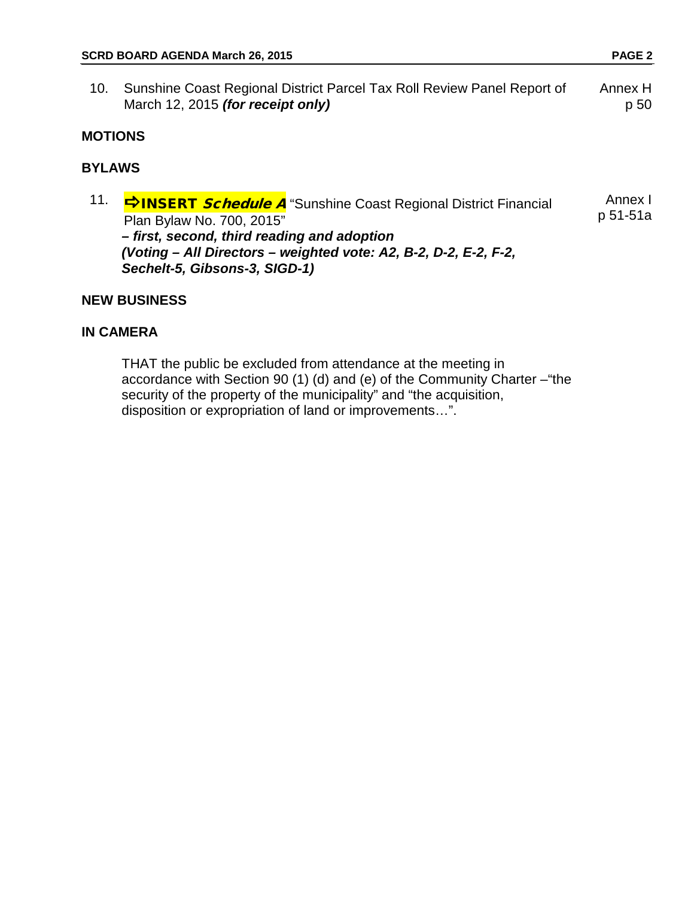10. Sunshine Coast Regional District Parcel Tax Roll Review Panel Report of March 12, 2015 *(for receipt only)* Annex H p 50

#### **MOTIONS**

### **BYLAWS**

11. **C INSERT Schedule A** "Sunshine Coast Regional District Financial Plan Bylaw No. 700, 2015" *– first, second, third reading and adoption (Voting – All Directors – weighted vote: A2, B-2, D-2, E-2, F-2, Sechelt-5, Gibsons-3, SIGD-1)* Annex I p 51-51a

#### **NEW BUSINESS**

#### **IN CAMERA**

THAT the public be excluded from attendance at the meeting in accordance with Section 90 (1) (d) and (e) of the Community Charter –"the security of the property of the municipality" and "the acquisition, disposition or expropriation of land or improvements…".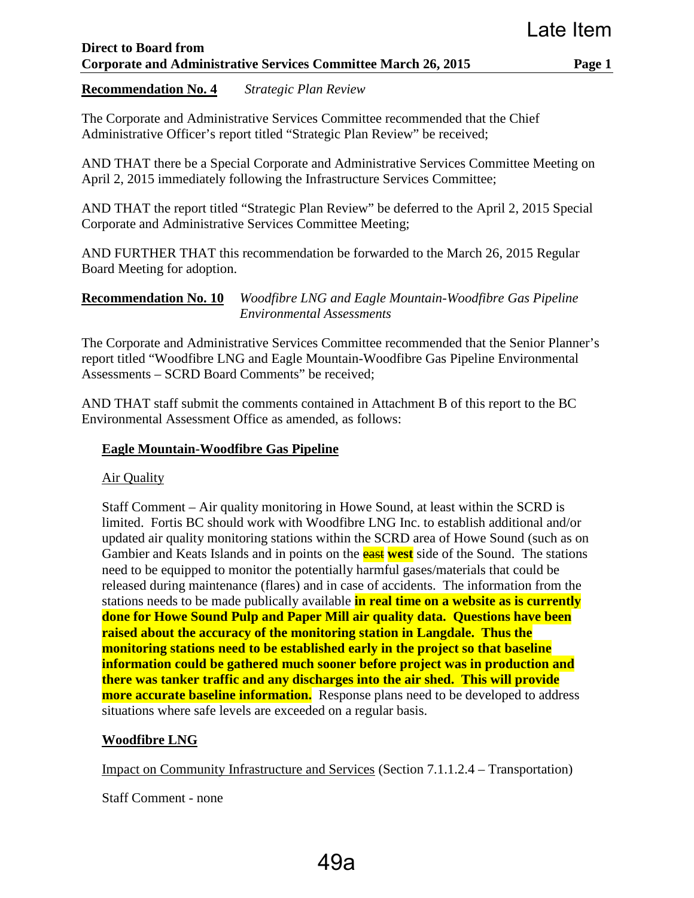**Recommendation No. 4** *Strategic Plan Review*

The Corporate and Administrative Services Committee recommended that the Chief Administrative Officer's report titled "Strategic Plan Review" be received;

AND THAT there be a Special Corporate and Administrative Services Committee Meeting on April 2, 2015 immediately following the Infrastructure Services Committee;

AND THAT the report titled "Strategic Plan Review" be deferred to the April 2, 2015 Special Corporate and Administrative Services Committee Meeting;

AND FURTHER THAT this recommendation be forwarded to the March 26, 2015 Regular Board Meeting for adoption.

**Recommendation No. 10** *Woodfibre LNG and Eagle Mountain-Woodfibre Gas Pipeline Environmental Assessments* 

The Corporate and Administrative Services Committee recommended that the Senior Planner's report titled "Woodfibre LNG and Eagle Mountain-Woodfibre Gas Pipeline Environmental Assessments – SCRD Board Comments" be received;

AND THAT staff submit the comments contained in Attachment B of this report to the BC Environmental Assessment Office as amended, as follows:

### **Eagle Mountain-Woodfibre Gas Pipeline**

Air Quality

Staff Comment – Air quality monitoring in Howe Sound, at least within the SCRD is limited. Fortis BC should work with Woodfibre LNG Inc. to establish additional and/or updated air quality monitoring stations within the SCRD area of Howe Sound (such as on Gambier and Keats Islands and in points on the east **west** side of the Sound. The stations need to be equipped to monitor the potentially harmful gases/materials that could be released during maintenance (flares) and in case of accidents. The information from the stations needs to be made publically available **in real time on a website as is currently done for Howe Sound Pulp and Paper Mill air quality data. Questions have been raised about the accuracy of the monitoring station in Langdale. Thus the monitoring stations need to be established early in the project so that baseline information could be gathered much sooner before project was in production and there was tanker traffic and any discharges into the air shed. This will provide more accurate baseline information.** Response plans need to be developed to address situations where safe levels are exceeded on a regular basis.

### **Woodfibre LNG**

Impact on Community Infrastructure and Services (Section 7.1.1.2.4 – Transportation)

Staff Comment - none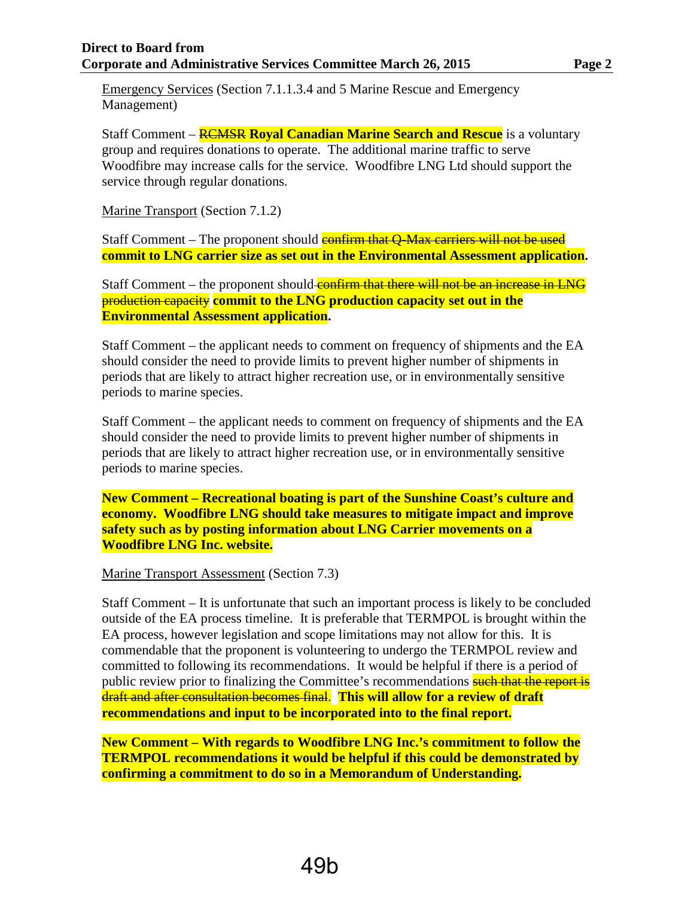Emergency Services (Section 7.1.1.3.4 and 5 Marine Rescue and Emergency Management)

Staff Comment – RCMSR **Royal Canadian Marine Search and Rescue** is a voluntary group and requires donations to operate. The additional marine traffic to serve Woodfibre may increase calls for the service. Woodfibre LNG Ltd should support the service through regular donations.

Marine Transport (Section 7.1.2)

Staff Comment – The proponent should **confirm that Q-Max carriers will not be used commit to LNG carrier size as set out in the Environmental Assessment application.**

Staff Comment – the proponent should confirm that there will not be an increase in LNG production capacity **commit to the LNG production capacity set out in the Environmental Assessment application.**

Staff Comment – the applicant needs to comment on frequency of shipments and the EA should consider the need to provide limits to prevent higher number of shipments in periods that are likely to attract higher recreation use, or in environmentally sensitive periods to marine species.

Staff Comment – the applicant needs to comment on frequency of shipments and the EA should consider the need to provide limits to prevent higher number of shipments in periods that are likely to attract higher recreation use, or in environmentally sensitive periods to marine species.

**New Comment – Recreational boating is part of the Sunshine Coast's culture and economy. Woodfibre LNG should take measures to mitigate impact and improve safety such as by posting information about LNG Carrier movements on a Woodfibre LNG Inc. website.**

Marine Transport Assessment (Section 7.3)

Staff Comment – It is unfortunate that such an important process is likely to be concluded outside of the EA process timeline. It is preferable that TERMPOL is brought within the EA process, however legislation and scope limitations may not allow for this. It is commendable that the proponent is volunteering to undergo the TERMPOL review and committed to following its recommendations. It would be helpful if there is a period of public review prior to finalizing the Committee's recommendations such that the report is draft and after consultation becomes final. **This will allow for a review of draft recommendations and input to be incorporated into to the final report.**

**New Comment – With regards to Woodfibre LNG Inc.'s commitment to follow the TERMPOL recommendations it would be helpful if this could be demonstrated by confirming a commitment to do so in a Memorandum of Understanding.**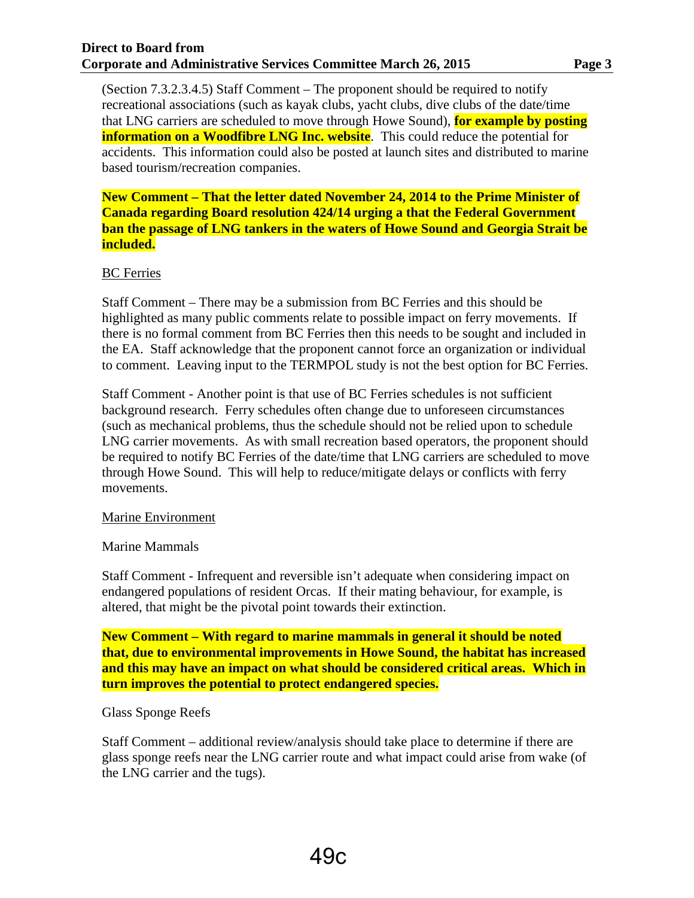(Section 7.3.2.3.4.5) Staff Comment – The proponent should be required to notify recreational associations (such as kayak clubs, yacht clubs, dive clubs of the date/time that LNG carriers are scheduled to move through Howe Sound), **for example by posting information on a Woodfibre LNG Inc. website**. This could reduce the potential for accidents. This information could also be posted at launch sites and distributed to marine based tourism/recreation companies.

**New Comment – That the letter dated November 24, 2014 to the Prime Minister of Canada regarding Board resolution 424/14 urging a that the Federal Government ban the passage of LNG tankers in the waters of Howe Sound and Georgia Strait be included.**

#### BC Ferries

Staff Comment – There may be a submission from BC Ferries and this should be highlighted as many public comments relate to possible impact on ferry movements. If there is no formal comment from BC Ferries then this needs to be sought and included in the EA. Staff acknowledge that the proponent cannot force an organization or individual to comment. Leaving input to the TERMPOL study is not the best option for BC Ferries.

Staff Comment - Another point is that use of BC Ferries schedules is not sufficient background research. Ferry schedules often change due to unforeseen circumstances (such as mechanical problems, thus the schedule should not be relied upon to schedule LNG carrier movements. As with small recreation based operators, the proponent should be required to notify BC Ferries of the date/time that LNG carriers are scheduled to move through Howe Sound. This will help to reduce/mitigate delays or conflicts with ferry movements.

#### Marine Environment

#### Marine Mammals

Staff Comment - Infrequent and reversible isn't adequate when considering impact on endangered populations of resident Orcas. If their mating behaviour, for example, is altered, that might be the pivotal point towards their extinction.

**New Comment – With regard to marine mammals in general it should be noted that, due to environmental improvements in Howe Sound, the habitat has increased and this may have an impact on what should be considered critical areas. Which in turn improves the potential to protect endangered species.**

#### Glass Sponge Reefs

Staff Comment – additional review/analysis should take place to determine if there are glass sponge reefs near the LNG carrier route and what impact could arise from wake (of the LNG carrier and the tugs).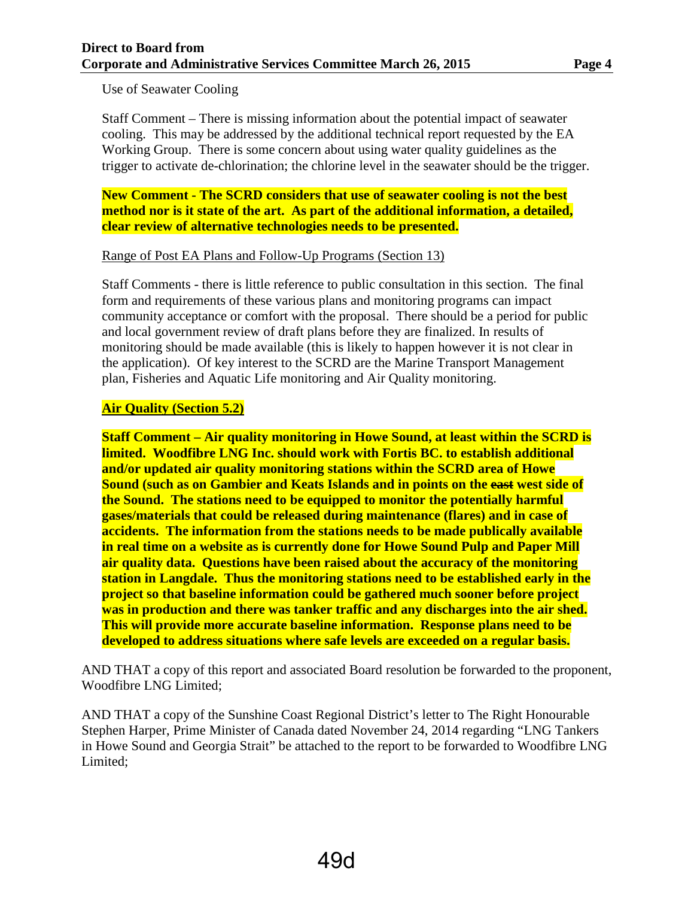Use of Seawater Cooling

Staff Comment – There is missing information about the potential impact of seawater cooling. This may be addressed by the additional technical report requested by the EA Working Group. There is some concern about using water quality guidelines as the trigger to activate de-chlorination; the chlorine level in the seawater should be the trigger.

**New Comment - The SCRD considers that use of seawater cooling is not the best method nor is it state of the art. As part of the additional information, a detailed, clear review of alternative technologies needs to be presented.**

#### Range of Post EA Plans and Follow-Up Programs (Section 13)

Staff Comments - there is little reference to public consultation in this section. The final form and requirements of these various plans and monitoring programs can impact community acceptance or comfort with the proposal. There should be a period for public and local government review of draft plans before they are finalized. In results of monitoring should be made available (this is likely to happen however it is not clear in the application). Of key interest to the SCRD are the Marine Transport Management plan, Fisheries and Aquatic Life monitoring and Air Quality monitoring.

#### **Air Quality (Section 5.2)**

**Staff Comment – Air quality monitoring in Howe Sound, at least within the SCRD is limited. Woodfibre LNG Inc. should work with Fortis BC. to establish additional and/or updated air quality monitoring stations within the SCRD area of Howe Sound (such as on Gambier and Keats Islands and in points on the east west side of the Sound. The stations need to be equipped to monitor the potentially harmful gases/materials that could be released during maintenance (flares) and in case of accidents. The information from the stations needs to be made publically available in real time on a website as is currently done for Howe Sound Pulp and Paper Mill air quality data. Questions have been raised about the accuracy of the monitoring station in Langdale. Thus the monitoring stations need to be established early in the project so that baseline information could be gathered much sooner before project was in production and there was tanker traffic and any discharges into the air shed. This will provide more accurate baseline information. Response plans need to be developed to address situations where safe levels are exceeded on a regular basis.**

AND THAT a copy of this report and associated Board resolution be forwarded to the proponent, Woodfibre LNG Limited;

AND THAT a copy of the Sunshine Coast Regional District's letter to The Right Honourable Stephen Harper, Prime Minister of Canada dated November 24, 2014 regarding "LNG Tankers in Howe Sound and Georgia Strait" be attached to the report to be forwarded to Woodfibre LNG Limited;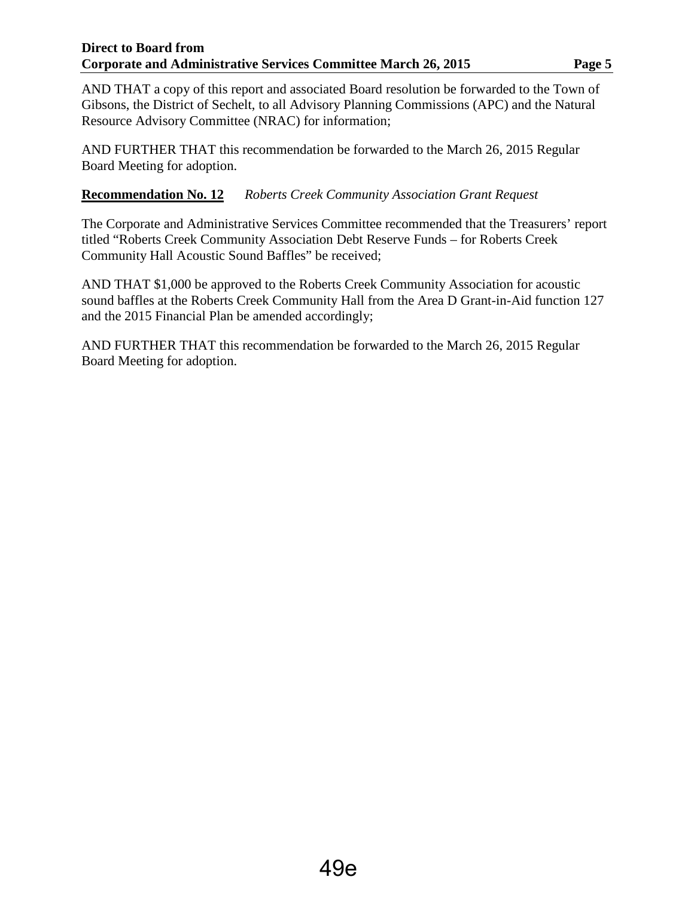#### **Direct to Board from Corporate and Administrative Services Committee March 26, 2015 Page 5**

AND THAT a copy of this report and associated Board resolution be forwarded to the Town of Gibsons, the District of Sechelt, to all Advisory Planning Commissions (APC) and the Natural Resource Advisory Committee (NRAC) for information;

AND FURTHER THAT this recommendation be forwarded to the March 26, 2015 Regular Board Meeting for adoption.

#### **Recommendation No. 12** *Roberts Creek Community Association Grant Request*

The Corporate and Administrative Services Committee recommended that the Treasurers' report titled "Roberts Creek Community Association Debt Reserve Funds – for Roberts Creek Community Hall Acoustic Sound Baffles" be received;

AND THAT \$1,000 be approved to the Roberts Creek Community Association for acoustic sound baffles at the Roberts Creek Community Hall from the Area D Grant-in-Aid function 127 and the 2015 Financial Plan be amended accordingly;

AND FURTHER THAT this recommendation be forwarded to the March 26, 2015 Regular Board Meeting for adoption.